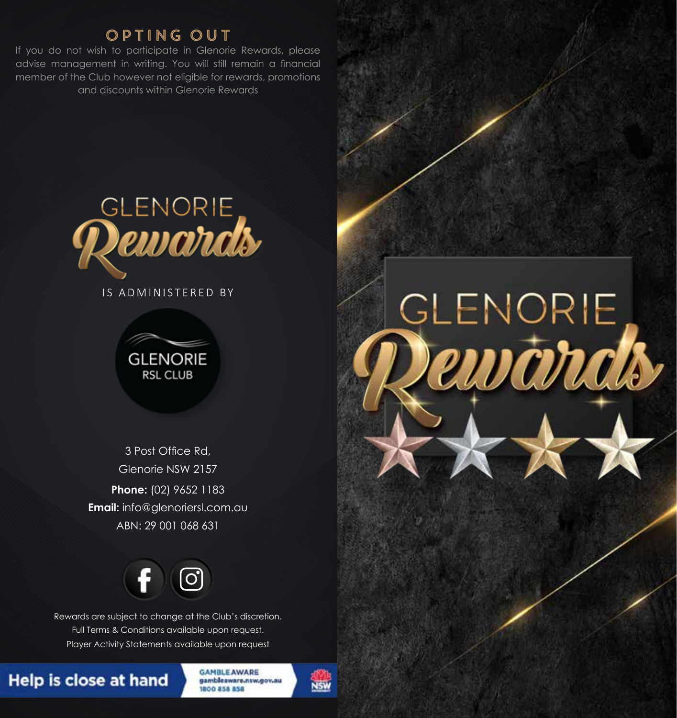## OPTING OUT

If you do not wish to participate in Glenorie Rewards, please advise management in writing. You will still remain a financial member of the Club however not eligible for rewards, promotions and discounts within Glenorie Rewards



IS ADMINISTERED BY



3 Post Office Rd, Glenorie NSW 2157 **Phone:** (02) 9652 1183 **Email:** info@glenoriersl.com.au ABN: 29 001 068 631



Rewards are subject to change at the Club's discretion. Full Terms & Conditions available upon request. Player Activity Statements available upon request

## **Help is close at hand**

**GAMBLE AWARE** gambleaware.nsw.gov.au 800 858 858





GLENORIE

ewards